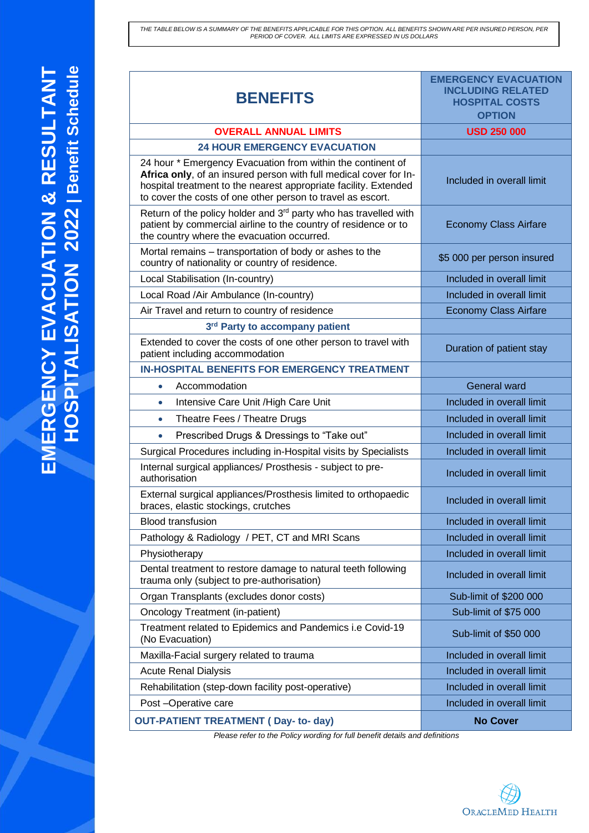THE TABLE BELOW IS A SUMMARY OF THE BENEFITS APPLICABLE FOR THIS OPTION. ALL BENEFITS SHOWN ARE PER INSURED PERSON, PER<br>PERIOD OF COVER. ALL LIMITS ARE EXPRESSED IN US DOLLARS

| <b>BENEFITS</b>                                                                                                                                                                                                                                                     | <b>EMERGENCY EVACUATION</b><br><b>INCLUDING RELATED</b><br><b>HOSPITAL COSTS</b><br><b>OPTION</b> |
|---------------------------------------------------------------------------------------------------------------------------------------------------------------------------------------------------------------------------------------------------------------------|---------------------------------------------------------------------------------------------------|
| <b>OVERALL ANNUAL LIMITS</b>                                                                                                                                                                                                                                        | <b>USD 250 000</b>                                                                                |
| <b>24 HOUR EMERGENCY EVACUATION</b>                                                                                                                                                                                                                                 |                                                                                                   |
| 24 hour * Emergency Evacuation from within the continent of<br>Africa only, of an insured person with full medical cover for In-<br>hospital treatment to the nearest appropriate facility. Extended<br>to cover the costs of one other person to travel as escort. | Included in overall limit                                                                         |
| Return of the policy holder and 3rd party who has travelled with<br>patient by commercial airline to the country of residence or to<br>the country where the evacuation occurred.                                                                                   | <b>Economy Class Airfare</b>                                                                      |
| Mortal remains – transportation of body or ashes to the<br>country of nationality or country of residence.                                                                                                                                                          | \$5 000 per person insured                                                                        |
| Local Stabilisation (In-country)                                                                                                                                                                                                                                    | Included in overall limit                                                                         |
| Local Road /Air Ambulance (In-country)                                                                                                                                                                                                                              | Included in overall limit                                                                         |
| Air Travel and return to country of residence                                                                                                                                                                                                                       | <b>Economy Class Airfare</b>                                                                      |
| 3rd Party to accompany patient                                                                                                                                                                                                                                      |                                                                                                   |
| Extended to cover the costs of one other person to travel with<br>patient including accommodation                                                                                                                                                                   | Duration of patient stay                                                                          |
| <b>IN-HOSPITAL BENEFITS FOR EMERGENCY TREATMENT</b>                                                                                                                                                                                                                 |                                                                                                   |
| Accommodation<br>$\bullet$                                                                                                                                                                                                                                          | <b>General ward</b>                                                                               |
| Intensive Care Unit / High Care Unit<br>$\bullet$                                                                                                                                                                                                                   | Included in overall limit                                                                         |
| Theatre Fees / Theatre Drugs<br>٠                                                                                                                                                                                                                                   | Included in overall limit                                                                         |
| Prescribed Drugs & Dressings to "Take out"<br>$\bullet$                                                                                                                                                                                                             | Included in overall limit                                                                         |
| Surgical Procedures including in-Hospital visits by Specialists                                                                                                                                                                                                     | Included in overall limit                                                                         |
| Internal surgical appliances/ Prosthesis - subject to pre-<br>authorisation                                                                                                                                                                                         | Included in overall limit                                                                         |
| External surgical appliances/Prosthesis limited to orthopaedic<br>braces, elastic stockings, crutches                                                                                                                                                               | Included in overall limit                                                                         |
| <b>Blood transfusion</b>                                                                                                                                                                                                                                            | Included in overall limit                                                                         |
| Pathology & Radiology / PET, CT and MRI Scans                                                                                                                                                                                                                       | Included in overall limit                                                                         |
| Physiotherapy                                                                                                                                                                                                                                                       | Included in overall limit                                                                         |
| Dental treatment to restore damage to natural teeth following<br>trauma only (subject to pre-authorisation)                                                                                                                                                         | Included in overall limit                                                                         |
| Organ Transplants (excludes donor costs)                                                                                                                                                                                                                            | Sub-limit of \$200 000                                                                            |
| <b>Oncology Treatment (in-patient)</b>                                                                                                                                                                                                                              | Sub-limit of \$75 000                                                                             |
| Treatment related to Epidemics and Pandemics i.e Covid-19<br>(No Evacuation)                                                                                                                                                                                        | Sub-limit of \$50 000                                                                             |
| Maxilla-Facial surgery related to trauma                                                                                                                                                                                                                            | Included in overall limit                                                                         |
| <b>Acute Renal Dialysis</b>                                                                                                                                                                                                                                         | Included in overall limit                                                                         |
| Rehabilitation (step-down facility post-operative)                                                                                                                                                                                                                  | Included in overall limit                                                                         |
| Post-Operative care                                                                                                                                                                                                                                                 | Included in overall limit                                                                         |
| <b>OUT-PATIENT TREATMENT (Day-to-day)</b>                                                                                                                                                                                                                           | <b>No Cover</b>                                                                                   |
|                                                                                                                                                                                                                                                                     |                                                                                                   |

*Please refer to the Policy wording for full benefit details and definitions*